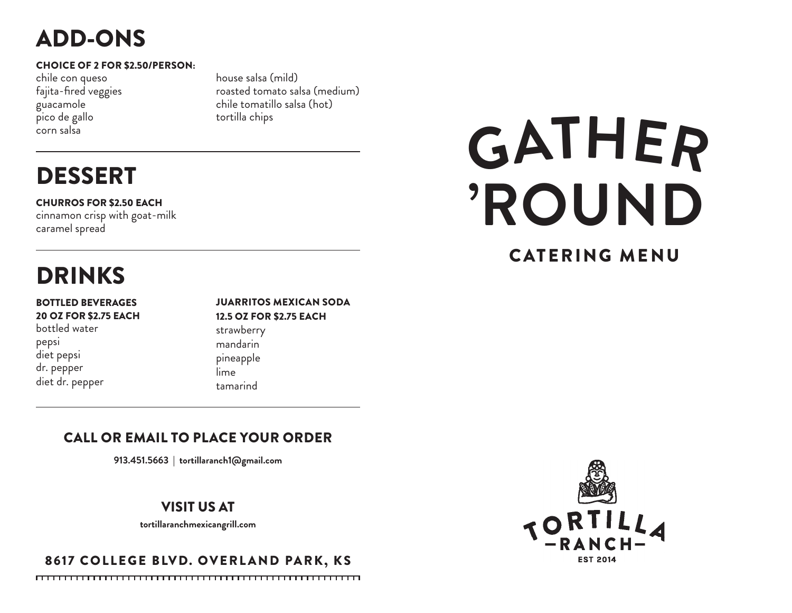# ADD-ONS

#### CHOICE OF 2 FOR \$2.50/PERSON:

chile con queso fajita-fired veggies guacamole pico de gallo corn salsa

house salsa (mild) roasted tomato salsa (medium) chile tomatillo salsa (hot) tortilla chips

# DESSERT

CHURROS FOR \$2.50 EACH

cinnamon crisp with goat-milk caramel spread

# DRINKS

#### BOTTLED BEVERAGES 20 OZ FOR \$2.75 EACH

bottled water pepsi diet pepsi dr. pepper diet dr. pepper

#### JUARRITOS MEXICAN SODA 12.5 OZ FOR \$2.75 EACH

strawberry mandarin pineapple lime tamarind

# CALL OR EMAIL TO PLACE YOUR ORDER

**913.451.5663** | **tortillaranch1@gmail.com**

## VISIT US AT

**tortillaranchmexicangrill.com**

# 8617 COLLEGE BLVD. OVERLAND PARK, KS



# CATERING MENU